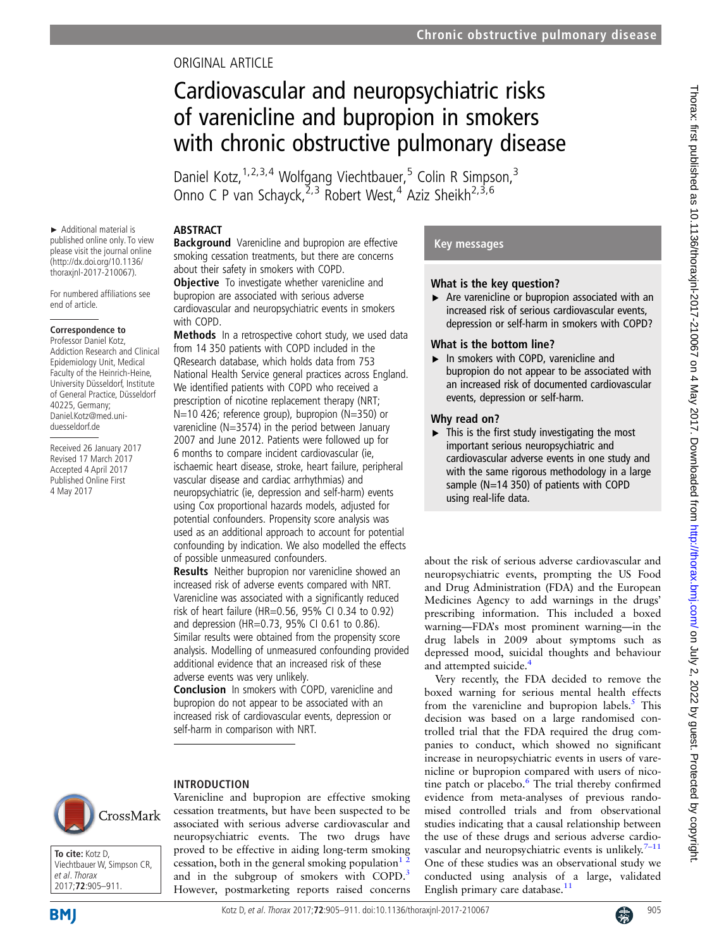# ORIGINAL ARTICLE

# Cardiovascular and neuropsychiatric risks of varenicline and bupropion in smokers with chronic obstructive pulmonary disease

Daniel Kotz, <sup>1,2,3,4</sup> Wolfgang Viechtbauer,<sup>5</sup> Colin R Simpson,<sup>3</sup> Onno C P van Schayck, $2^{2,3}$  Robert West, $4^{4}$  Aziz Sheikh<sup>2,3,6</sup>

#### ► Additional material is published online only. To view please visit the journal online (http://dx.doi.org/10.1136/ thoraxjnl-2017-210067).

For numbered affiliations see end of article.

# **Correspondence to**

Professor Daniel Kotz, Addiction Research and Clinical Epidemiology Unit, Medical Faculty of the Heinrich-Heine, University Düsseldorf, Institute of General Practice, Düsseldorf 40225, Germany; Daniel.Kotz@med.uniduesseldorf.de

Received 26 January 2017 Revised 17 March 2017 Accepted 4 April 2017 Published Online First 4 May 2017

# ABSTRACT

**Background** Varenicline and bupropion are effective smoking cessation treatments, but there are concerns about their safety in smokers with COPD.

**Objective** To investigate whether varenicline and bupropion are associated with serious adverse cardiovascular and neuropsychiatric events in smokers with COPD.

Methods In a retrospective cohort study, we used data from 14 350 patients with COPD included in the QResearch database, which holds data from 753 National Health Service general practices across England. We identified patients with COPD who received a prescription of nicotine replacement therapy (NRT; N=10 426; reference group), bupropion (N=350) or varenicline (N=3574) in the period between January 2007 and June 2012. Patients were followed up for 6 months to compare incident cardiovascular (ie, ischaemic heart disease, stroke, heart failure, peripheral vascular disease and cardiac arrhythmias) and neuropsychiatric (ie, depression and self-harm) events using Cox proportional hazards models, adjusted for potential confounders. Propensity score analysis was used as an additional approach to account for potential confounding by indication. We also modelled the effects of possible unmeasured confounders.

**Results** Neither bupropion nor varenicline showed an increased risk of adverse events compared with NRT. Varenicline was associated with a significantly reduced risk of heart failure (HR=0.56, 95% CI 0.34 to 0.92) and depression (HR=0.73, 95% CI 0.61 to 0.86). Similar results were obtained from the propensity score analysis. Modelling of unmeasured confounding provided additional evidence that an increased risk of these adverse events was very unlikely.

Conclusion In smokers with COPD, varenicline and bupropion do not appear to be associated with an increased risk of cardiovascular events, depression or self-harm in comparison with NRT.

Varenicline and bupropion are effective smoking cessation treatments, but have been suspected to be associated with serious adverse cardiovascular and neuropsychiatric events. The two drugs have proved to be effective in aiding long-term smoking cessation, both in the general smoking population<sup>1</sup><sup>2</sup> and in the subgroup of smokers with COPD.<sup>[3](#page-6-0)</sup> However, postmarketing reports raised concerns

# INTRODUCTION



**To cite:** Kotz D, Viechtbauer W, Simpson CR, et al. Thorax 2017;**72**:905–911.

# Key messages

# What is the key question?

 $\triangleright$  Are varenicline or bupropion associated with an increased risk of serious cardiovascular events, depression or self-harm in smokers with COPD?

# What is the bottom line?

▸ In smokers with COPD, varenicline and bupropion do not appear to be associated with an increased risk of documented cardiovascular events, depression or self-harm.

## Why read on?

 $\blacktriangleright$  This is the first study investigating the most important serious neuropsychiatric and cardiovascular adverse events in one study and with the same rigorous methodology in a large sample (N=14 350) of patients with COPD using real-life data.

about the risk of serious adverse cardiovascular and neuropsychiatric events, prompting the US Food and Drug Administration (FDA) and the European Medicines Agency to add warnings in the drugs' prescribing information. This included a boxed warning—FDA's most prominent warning—in the drug labels in 2009 about symptoms such as depressed mood, suicidal thoughts and behaviour and attempted suicide.<sup>[4](#page-6-0)</sup>

Very recently, the FDA decided to remove the boxed warning for serious mental health effects from the varenicline and bupropion labels. $<sup>5</sup>$  $<sup>5</sup>$  $<sup>5</sup>$  This</sup> decision was based on a large randomised controlled trial that the FDA required the drug companies to conduct, which showed no significant increase in neuropsychiatric events in users of varenicline or bupropion compared with users of nico-tine patch or placebo.<sup>[6](#page-6-0)</sup> The trial thereby confirmed evidence from meta-analyses of previous randomised controlled trials and from observational studies indicating that a causal relationship between the use of these drugs and serious adverse cardiovascular and neuropsychiatric events is unlikely. $7-11$  $7-11$ One of these studies was an observational study we conducted using analysis of a large, validated English primary care database.<sup>[11](#page-6-0)</sup>

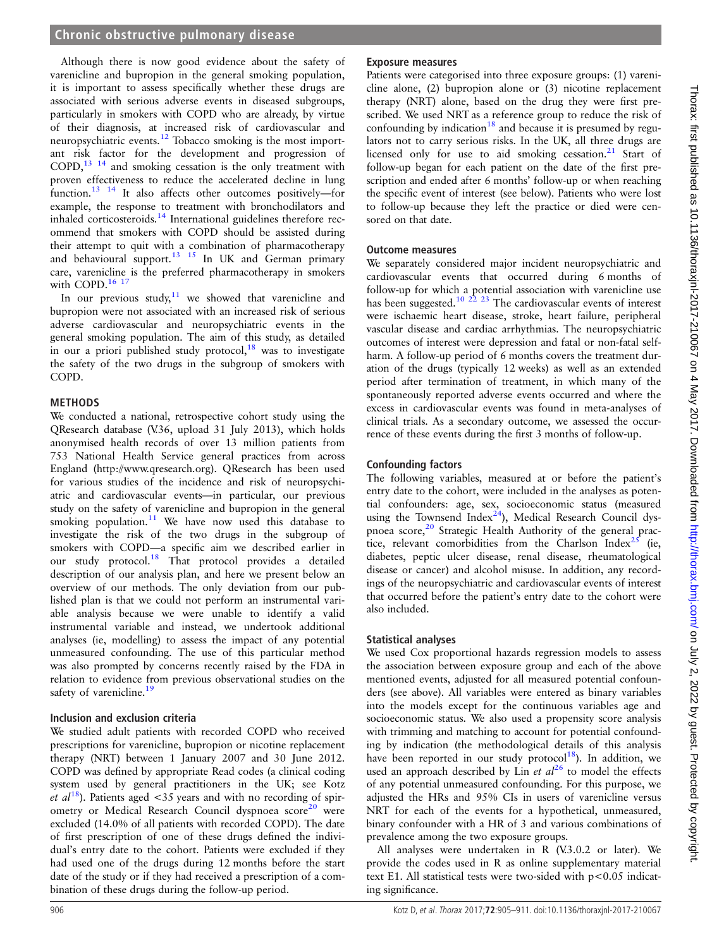# **Chronic obstructive pulmonary disease**

Although there is now good evidence about the safety of varenicline and bupropion in the general smoking population, it is important to assess specifically whether these drugs are associated with serious adverse events in diseased subgroups, particularly in smokers with COPD who are already, by virtue of their diagnosis, at increased risk of cardiovascular and neuropsychiatric events.[12](#page-6-0) Tobacco smoking is the most important risk factor for the development and progression of COPD,[13 14](#page-6-0) and smoking cessation is the only treatment with proven effectiveness to reduce the accelerated decline in lung function.<sup>13</sup> <sup>14</sup> It also affects other outcomes positively—for example, the response to treatment with bronchodilators and inhaled corticosteroids. $14$  International guidelines therefore recommend that smokers with COPD should be assisted during their attempt to quit with a combination of pharmacotherapy and behavioural support.<sup>[13 15](#page-6-0)</sup> In UK and German primary care, varenicline is the preferred pharmacotherapy in smokers with COPD.<sup>16</sup> <sup>17</sup>

In our previous study, $11$  we showed that varenicline and bupropion were not associated with an increased risk of serious adverse cardiovascular and neuropsychiatric events in the general smoking population. The aim of this study, as detailed in our a priori published study protocol, $18$  was to investigate the safety of the two drugs in the subgroup of smokers with COPD.

#### **METHODS**

We conducted a national, retrospective cohort study using the QResearch database (V.36, upload 31 July 2013), which holds anonymised health records of over 13 million patients from 753 National Health Service general practices from across England (<http://www.qresearch.org>). QResearch has been used for various studies of the incidence and risk of neuropsychiatric and cardiovascular events—in particular, our previous study on the safety of varenicline and bupropion in the general smoking population.<sup>[11](#page-6-0)</sup> We have now used this database to investigate the risk of the two drugs in the subgroup of smokers with COPD—a specific aim we described earlier in our study protocol.<sup>[18](#page-6-0)</sup> That protocol provides a detailed description of our analysis plan, and here we present below an overview of our methods. The only deviation from our published plan is that we could not perform an instrumental variable analysis because we were unable to identify a valid instrumental variable and instead, we undertook additional analyses (ie, modelling) to assess the impact of any potential unmeasured confounding. The use of this particular method was also prompted by concerns recently raised by the FDA in relation to evidence from previous observational studies on the safety of varenicline.<sup>[19](#page-6-0)</sup>

#### Inclusion and exclusion criteria

We studied adult patients with recorded COPD who received prescriptions for varenicline, bupropion or nicotine replacement therapy (NRT) between 1 January 2007 and 30 June 2012. COPD was defined by appropriate Read codes (a clinical coding system used by general practitioners in the UK; see Kotz *et al*<sup>18</sup>. Patients aged <35 years and with no recording of spir-ometry or Medical Research Council dyspnoea score<sup>[20](#page-6-0)</sup> were excluded (14.0% of all patients with recorded COPD). The date of first prescription of one of these drugs defined the individual's entry date to the cohort. Patients were excluded if they had used one of the drugs during 12 months before the start date of the study or if they had received a prescription of a combination of these drugs during the follow-up period.

#### Exposure measures

Patients were categorised into three exposure groups: (1) varenicline alone, (2) bupropion alone or (3) nicotine replacement therapy (NRT) alone, based on the drug they were first prescribed. We used NRT as a reference group to reduce the risk of confounding by indication<sup>[18](#page-6-0)</sup> and because it is presumed by regulators not to carry serious risks. In the UK, all three drugs are licensed only for use to aid smoking cessation.<sup>[21](#page-6-0)</sup> Start of follow-up began for each patient on the date of the first prescription and ended after 6 months' follow-up or when reaching the specific event of interest (see below). Patients who were lost to follow-up because they left the practice or died were censored on that date.

#### Outcome measures

We separately considered major incident neuropsychiatric and cardiovascular events that occurred during 6 months of follow-up for which a potential association with varenicline use has been suggested.<sup>10 22 23</sup> The cardiovascular events of interest were ischaemic heart disease, stroke, heart failure, peripheral vascular disease and cardiac arrhythmias. The neuropsychiatric outcomes of interest were depression and fatal or non-fatal selfharm. A follow-up period of 6 months covers the treatment duration of the drugs (typically 12 weeks) as well as an extended period after termination of treatment, in which many of the spontaneously reported adverse events occurred and where the excess in cardiovascular events was found in meta-analyses of clinical trials. As a secondary outcome, we assessed the occurrence of these events during the first 3 months of follow-up.

#### Confounding factors

The following variables, measured at or before the patient's entry date to the cohort, were included in the analyses as potential confounders: age, sex, socioeconomic status (measured using the Townsend Index<sup>24</sup>), Medical Research Council dys-pnoea score,<sup>[20](#page-6-0)</sup> Strategic Health Authority of the general prac-tice, relevant comorbidities from the Charlson Index<sup>[25](#page-6-0)</sup> (ie, diabetes, peptic ulcer disease, renal disease, rheumatological disease or cancer) and alcohol misuse. In addition, any recordings of the neuropsychiatric and cardiovascular events of interest that occurred before the patient's entry date to the cohort were also included.

#### Statistical analyses

We used Cox proportional hazards regression models to assess the association between exposure group and each of the above mentioned events, adjusted for all measured potential confounders (see above). All variables were entered as binary variables into the models except for the continuous variables age and socioeconomic status. We also used a propensity score analysis with trimming and matching to account for potential confounding by indication (the methodological details of this analysis have been reported in our study protocol<sup>18</sup>). In addition, we used an approach described by Lin et  $al^{26}$  $al^{26}$  $al^{26}$  to model the effects of any potential unmeasured confounding. For this purpose, we adjusted the HRs and 95% CIs in users of varenicline versus NRT for each of the events for a hypothetical, unmeasured, binary confounder with a HR of 3 and various combinations of prevalence among the two exposure groups.

All analyses were undertaken in R (V.3.0.2 or later). We provide the codes used in R as online [supplementary material](http://dx.doi.org/10.1136/thoraxjnl-2017-210067) [text E1.](http://dx.doi.org/10.1136/thoraxjnl-2017-210067) All statistical tests were two-sided with p<0.05 indicating significance.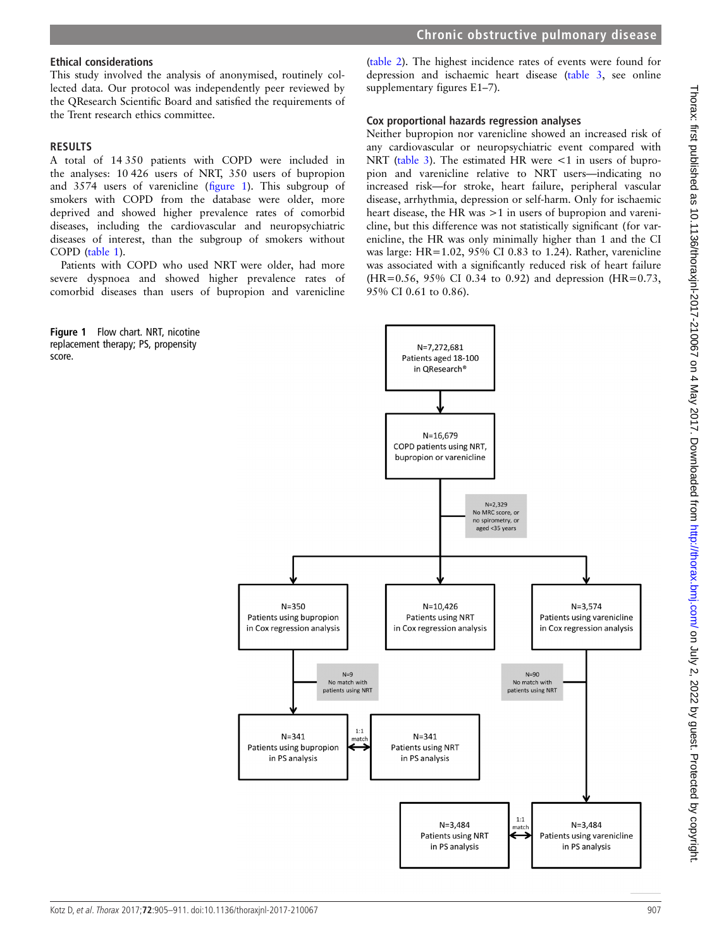# Ethical considerations

This study involved the analysis of anonymised, routinely collected data. Our protocol was independently peer reviewed by the QResearch Scientific Board and satisfied the requirements of the Trent research ethics committee.

# **RESULTS**

A total of 14 350 patients with COPD were included in the analyses: 10 426 users of NRT, 350 users of bupropion and 3574 users of varenicline (figure 1). This subgroup of smokers with COPD from the database were older, more deprived and showed higher prevalence rates of comorbid diseases, including the cardiovascular and neuropsychiatric diseases of interest, than the subgroup of smokers without COPD ([table 1\)](#page-3-0).

Patients with COPD who used NRT were older, had more severe dyspnoea and showed higher prevalence rates of comorbid diseases than users of bupropion and varenicline



([table 2](#page-3-0)). The highest incidence rates of events were found for depression and ischaemic heart disease [\(table 3,](#page-4-0) see online [supplementary figures E1](http://dx.doi.org/10.1136/thoraxjnl-2017-210067)–7).

# Cox proportional hazards regression analyses

Neither bupropion nor varenicline showed an increased risk of any cardiovascular or neuropsychiatric event compared with NRT [\(table 3](#page-4-0)). The estimated HR were  $\lt 1$  in users of bupropion and varenicline relative to NRT users—indicating no increased risk—for stroke, heart failure, peripheral vascular disease, arrhythmia, depression or self-harm. Only for ischaemic heart disease, the HR was  $>1$  in users of bupropion and varenicline, but this difference was not statistically significant (for varenicline, the HR was only minimally higher than 1 and the CI was large: HR=1.02, 95% CI 0.83 to 1.24). Rather, varenicline was associated with a significantly reduced risk of heart failure  $(HR=0.56, 95\% \text{ CI } 0.34 \text{ to } 0.92)$  and depression  $(HR=0.73, 1.56)$ 95% CI 0.61 to 0.86).

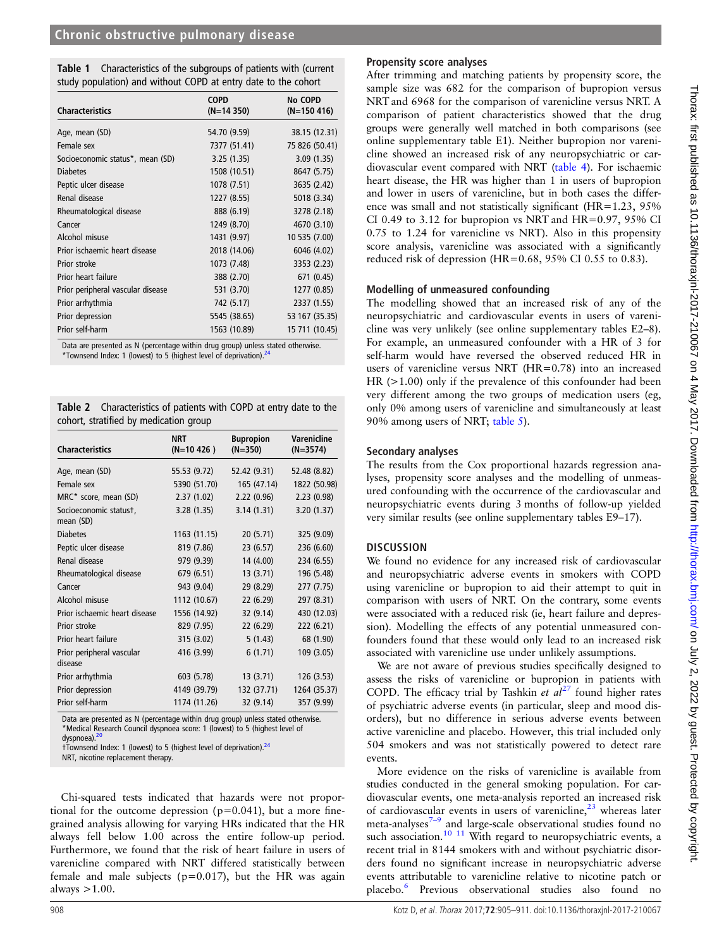<span id="page-3-0"></span>

| <b>Table 1</b> Characteristics of the subgroups of patients with (current |
|---------------------------------------------------------------------------|
| study population) and without COPD at entry date to the cohort            |

| <b>Characteristics</b>            | <b>COPD</b><br>$(N=14350)$ | <b>No COPD</b><br>$(N=150 416)$ |
|-----------------------------------|----------------------------|---------------------------------|
| Age, mean (SD)                    | 54.70 (9.59)               | 38.15 (12.31)                   |
| Female sex                        | 7377 (51.41)               | 75 826 (50.41)                  |
| Socioeconomic status*, mean (SD)  | 3.25(1.35)                 | 3.09(1.35)                      |
| <b>Diabetes</b>                   | 1508 (10.51)               | 8647 (5.75)                     |
| Peptic ulcer disease              | 1078 (7.51)                | 3635 (2.42)                     |
| Renal disease                     | 1227 (8.55)                | 5018 (3.34)                     |
| Rheumatological disease           | 888 (6.19)                 | 3278 (2.18)                     |
| Cancer                            | 1249 (8.70)                | 4670 (3.10)                     |
| Alcohol misuse                    | 1431 (9.97)                | 10 535 (7.00)                   |
| Prior ischaemic heart disease     | 2018 (14.06)               | 6046 (4.02)                     |
| Prior stroke                      | 1073 (7.48)                | 3353 (2.23)                     |
| Prior heart failure               | 388 (2.70)                 | 671 (0.45)                      |
| Prior peripheral vascular disease | 531 (3.70)                 | 1277 (0.85)                     |
| Prior arrhythmia                  | 742 (5.17)                 | 2337 (1.55)                     |
| Prior depression                  | 5545 (38.65)               | 53 167 (35.35)                  |
| Prior self-harm                   | 1563 (10.89)               | 15 711 (10.45)                  |

Data are presented as N (percentage within drug group) unless stated otherwise.<br>\*Townsend Index: 1 (lowest) to 5 (highest level of deprivation).<sup>[24](#page-6-0)</sup>

Table 2 Characteristics of patients with COPD at entry date to the cohort, stratified by medication group

| <b>Characteristics</b>               | <b>NRT</b><br>$(N=10 426)$ | <b>Bupropion</b><br>$(N=350)$ | <b>Varenicline</b><br>$(N=3574)$ |
|--------------------------------------|----------------------------|-------------------------------|----------------------------------|
| Age, mean (SD)                       | 55.53 (9.72)               | 52.42 (9.31)                  | 52.48 (8.82)                     |
| Female sex                           | 5390 (51.70)               | 165 (47.14)                   | 1822 (50.98)                     |
| MRC* score, mean (SD)                | 2.37(1.02)                 | 2.22(0.96)                    | 2.23(0.98)                       |
| Socioeconomic statust,<br>mean (SD)  | 3.28(1.35)                 | 3.14(1.31)                    | 3.20 (1.37)                      |
| <b>Diabetes</b>                      | 1163 (11.15)               | 20 (5.71)                     | 325 (9.09)                       |
| Peptic ulcer disease                 | 819 (7.86)                 | 23 (6.57)                     | 236 (6.60)                       |
| Renal disease                        | 979 (9.39)                 | 14 (4.00)                     | 234 (6.55)                       |
| Rheumatological disease              | 679 (6.51)                 | 13 (3.71)                     | 196 (5.48)                       |
| Cancer                               | 943 (9.04)                 | 29 (8.29)                     | 277 (7.75)                       |
| Alcohol misuse                       | 1112 (10.67)               | 22 (6.29)                     | 297 (8.31)                       |
| Prior ischaemic heart disease        | 1556 (14.92)               | 32 (9.14)                     | 430 (12.03)                      |
| Prior stroke                         | 829 (7.95)                 | 22 (6.29)                     | 222 (6.21)                       |
| Prior heart failure                  | 315 (3.02)                 | 5(1.43)                       | 68 (1.90)                        |
| Prior peripheral vascular<br>disease | 416 (3.99)                 | 6(1.71)                       | 109 (3.05)                       |
| Prior arrhythmia                     | 603 (5.78)                 | 13(3.71)                      | 126 (3.53)                       |
| Prior depression                     | 4149 (39.79)               | 132 (37.71)                   | 1264 (35.37)                     |
| Prior self-harm                      | 1174 (11.26)               | 32 (9.14)                     | 357 (9.99)                       |

Data are presented as N (percentage within drug group) unless stated otherwise. \*Medical Research Council dyspnoea score: 1 (lowest) to 5 (highest level of dyspnoea).

†Townsend Index: 1 (lowest) to 5 (highest level of deprivation).[24](#page-6-0)

NRT, nicotine replacement therapy.

Chi-squared tests indicated that hazards were not proportional for the outcome depression ( $p=0.041$ ), but a more finegrained analysis allowing for varying HRs indicated that the HR always fell below 1.00 across the entire follow-up period. Furthermore, we found that the risk of heart failure in users of varenicline compared with NRT differed statistically between female and male subjects ( $p=0.017$ ), but the HR was again always  $>1.00$ .

# Propensity score analyses

After trimming and matching patients by propensity score, the sample size was 682 for the comparison of bupropion versus NRT and 6968 for the comparison of varenicline versus NRT. A comparison of patient characteristics showed that the drug groups were generally well matched in both comparisons (see online [supplementary table E1](http://dx.doi.org/10.1136/thoraxjnl-2017-210067)). Neither bupropion nor varenicline showed an increased risk of any neuropsychiatric or cardiovascular event compared with NRT [\(table 4](#page-4-0)). For ischaemic heart disease, the HR was higher than 1 in users of bupropion and lower in users of varenicline, but in both cases the difference was small and not statistically significant (HR=1.23, 95% CI 0.49 to 3.12 for bupropion vs NRT and  $HR=0.97$ , 95% CI 0.75 to 1.24 for varenicline vs NRT). Also in this propensity score analysis, varenicline was associated with a significantly reduced risk of depression (HR=0.68,  $95\%$  CI 0.55 to 0.83).

### Modelling of unmeasured confounding

The modelling showed that an increased risk of any of the neuropsychiatric and cardiovascular events in users of varenicline was very unlikely (see online [supplementary tables E2](http://dx.doi.org/10.1136/thoraxjnl-2017-210067)–8). For example, an unmeasured confounder with a HR of 3 for self-harm would have reversed the observed reduced HR in users of varenicline versus NRT (HR=0.78) into an increased HR (>1.00) only if the prevalence of this confounder had been very different among the two groups of medication users (eg, only 0% among users of varenicline and simultaneously at least 90% among users of NRT; [table 5](#page-5-0)).

## Secondary analyses

The results from the Cox proportional hazards regression analyses, propensity score analyses and the modelling of unmeasured confounding with the occurrence of the cardiovascular and neuropsychiatric events during 3 months of follow-up yielded very similar results (see online [supplementary tables E9](http://dx.doi.org/10.1136/thoraxjnl-2017-210067)–17).

## **DISCUSSION**

We found no evidence for any increased risk of cardiovascular and neuropsychiatric adverse events in smokers with COPD using varenicline or bupropion to aid their attempt to quit in comparison with users of NRT. On the contrary, some events were associated with a reduced risk (ie, heart failure and depression). Modelling the effects of any potential unmeasured confounders found that these would only lead to an increased risk associated with varenicline use under unlikely assumptions.

We are not aware of previous studies specifically designed to assess the risks of varenicline or bupropion in patients with COPD. The efficacy trial by Tashkin et  $al^{27}$  $al^{27}$  $al^{27}$  found higher rates of psychiatric adverse events (in particular, sleep and mood disorders), but no difference in serious adverse events between active varenicline and placebo. However, this trial included only 504 smokers and was not statistically powered to detect rare events.

More evidence on the risks of varenicline is available from studies conducted in the general smoking population. For cardiovascular events, one meta-analysis reported an increased risk of cardiovascular events in users of varenicline, $2<sup>3</sup>$  whereas later meta-analyses $7-9$  and large-scale observational studies found no such association.<sup>[10 11](#page-6-0)</sup> With regard to neuropsychiatric events, a recent trial in 8144 smokers with and without psychiatric disorders found no significant increase in neuropsychiatric adverse events attributable to varenicline relative to nicotine patch or placebo[.6](#page-6-0) Previous observational studies also found no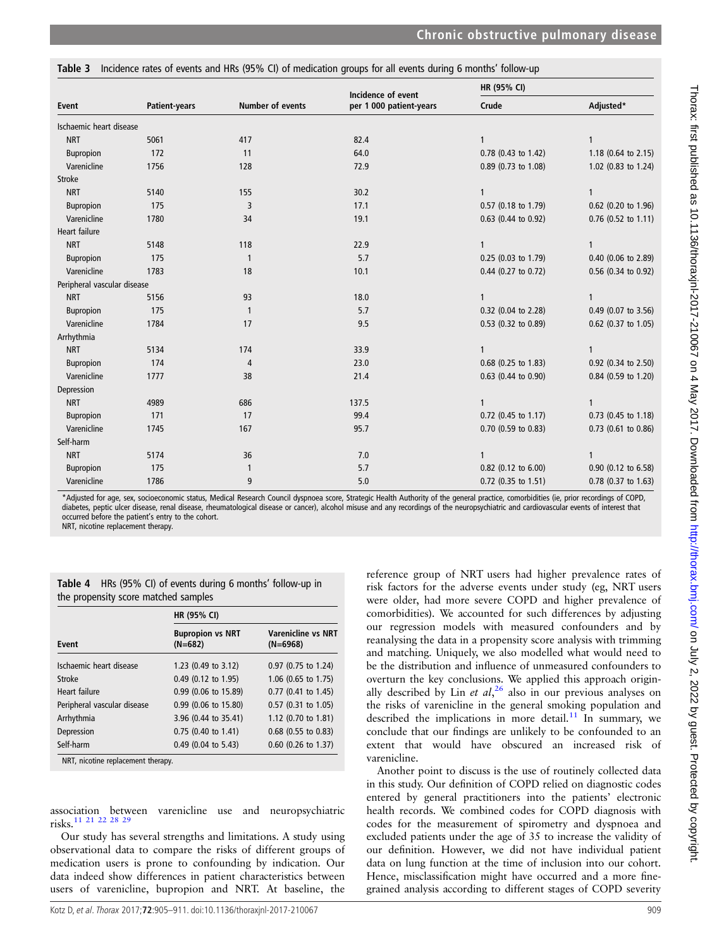<span id="page-4-0"></span>Table 3 Incidence rates of events and HRs (95% CI) of medication groups for all events during 6 months' follow-up

|                             |               |                         | Incidence of event      | HR (95% CI)         |                     |
|-----------------------------|---------------|-------------------------|-------------------------|---------------------|---------------------|
| Event                       | Patient-years | <b>Number of events</b> | per 1 000 patient-years | Crude               | Adjusted*           |
| Ischaemic heart disease     |               |                         |                         |                     |                     |
| <b>NRT</b>                  | 5061          | 417                     | 82.4                    |                     | 1                   |
| Bupropion                   | 172           | 11                      | 64.0                    | 0.78 (0.43 to 1.42) | 1.18 (0.64 to 2.15) |
| Varenicline                 | 1756          | 128                     | 72.9                    | 0.89 (0.73 to 1.08) | 1.02 (0.83 to 1.24) |
| <b>Stroke</b>               |               |                         |                         |                     |                     |
| <b>NRT</b>                  | 5140          | 155                     | 30.2                    | 1                   | $\mathbf{1}$        |
| Bupropion                   | 175           | 3                       | 17.1                    | 0.57 (0.18 to 1.79) | 0.62 (0.20 to 1.96) |
| Varenicline                 | 1780          | 34                      | 19.1                    | 0.63 (0.44 to 0.92) | 0.76 (0.52 to 1.11) |
| Heart failure               |               |                         |                         |                     |                     |
| <b>NRT</b>                  | 5148          | 118                     | 22.9                    | 1                   | 1                   |
| Bupropion                   | 175           | 1                       | 5.7                     | 0.25 (0.03 to 1.79) | 0.40 (0.06 to 2.89) |
| Varenicline                 | 1783          | 18                      | 10.1                    | 0.44 (0.27 to 0.72) | 0.56 (0.34 to 0.92) |
| Peripheral vascular disease |               |                         |                         |                     |                     |
| <b>NRT</b>                  | 5156          | 93                      | 18.0                    | 1                   | $\mathbf{1}$        |
| Bupropion                   | 175           | 1                       | 5.7                     | 0.32 (0.04 to 2.28) | 0.49 (0.07 to 3.56) |
| Varenicline                 | 1784          | 17                      | 9.5                     | 0.53 (0.32 to 0.89) | 0.62 (0.37 to 1.05) |
| Arrhythmia                  |               |                         |                         |                     |                     |
| <b>NRT</b>                  | 5134          | 174                     | 33.9                    |                     | 1                   |
| Bupropion                   | 174           | 4                       | 23.0                    | 0.68 (0.25 to 1.83) | 0.92 (0.34 to 2.50) |
| Varenicline                 | 1777          | 38                      | 21.4                    | 0.63 (0.44 to 0.90) | 0.84 (0.59 to 1.20) |
| Depression                  |               |                         |                         |                     |                     |
| <b>NRT</b>                  | 4989          | 686                     | 137.5                   | $\mathbf{1}$        | $\mathbf{1}$        |
| Bupropion                   | 171           | 17                      | 99.4                    | 0.72 (0.45 to 1.17) | 0.73 (0.45 to 1.18) |
| Varenicline                 | 1745          | 167                     | 95.7                    | 0.70 (0.59 to 0.83) | 0.73 (0.61 to 0.86) |
| Self-harm                   |               |                         |                         |                     |                     |
| <b>NRT</b>                  | 5174          | 36                      | 7.0                     | 1                   | 1                   |
| Bupropion                   | 175           | 1                       | 5.7                     | 0.82 (0.12 to 6.00) | 0.90 (0.12 to 6.58) |
| Varenicline                 | 1786          | 9                       | 5.0                     | 0.72 (0.35 to 1.51) | 0.78 (0.37 to 1.63) |

\*Adjusted for age, sex, socioeconomic status, Medical Research Council dyspnoea score, Strategic Health Authority of the general practice, comorbidities (ie, prior recordings of COPD, diabetes, peptic ulcer disease, renal disease, rheumatological disease or cancer), alcohol misuse and any recordings of the neuropsychiatric and cardiovascular events of interest that occurred before the patient's entry to the cohort.

NRT, nicotine replacement therapy.

| <b>Table 4</b> HRs (95% CI) of events during 6 months' follow-up in |  |
|---------------------------------------------------------------------|--|
| the propensity score matched samples                                |  |

|                             | HR (95% CI)                          |                                         |
|-----------------------------|--------------------------------------|-----------------------------------------|
| <b>Fvent</b>                | <b>Bupropion vs NRT</b><br>$(N=682)$ | <b>Varenicline vs NRT</b><br>$(N=6968)$ |
| Ischaemic heart disease     | 1.23 (0.49 to 3.12)                  | 0.97 (0.75 to 1.24)                     |
| Stroke                      | 0.49 (0.12 to 1.95)                  | 1.06 (0.65 to 1.75)                     |
| Heart failure               | 0.99 (0.06 to 15.89)                 | 0.77 (0.41 to 1.45)                     |
| Peripheral vascular disease | 0.99 (0.06 to 15.80)                 | 0.57 (0.31 to 1.05)                     |
| Arrhythmia                  | 3.96 (0.44 to 35.41)                 | 1.12 (0.70 to 1.81)                     |
| Depression                  | 0.75 (0.40 to 1.41)                  | $0.68$ (0.55 to 0.83)                   |
| Self-harm                   | 0.49 (0.04 to 5.43)                  | 0.60 (0.26 to 1.37)                     |

NRT, nicotine replacement therapy.

association between varenicline use and neuropsychiatric risks.[11 21 22 28 29](#page-6-0)

Our study has several strengths and limitations. A study using observational data to compare the risks of different groups of medication users is prone to confounding by indication. Our data indeed show differences in patient characteristics between users of varenicline, bupropion and NRT. At baseline, the

reference group of NRT users had higher prevalence rates of risk factors for the adverse events under study (eg, NRT users were older, had more severe COPD and higher prevalence of comorbidities). We accounted for such differences by adjusting our regression models with measured confounders and by reanalysing the data in a propensity score analysis with trimming and matching. Uniquely, we also modelled what would need to be the distribution and influence of unmeasured confounders to overturn the key conclusions. We applied this approach originally described by Lin et  $al<sub>1</sub><sup>26</sup>$  $al<sub>1</sub><sup>26</sup>$  $al<sub>1</sub><sup>26</sup>$  also in our previous analyses on the risks of varenicline in the general smoking population and described the implications in more detail.<sup>[11](#page-6-0)</sup> In summary, we conclude that our findings are unlikely to be confounded to an extent that would have obscured an increased risk of varenicline.

Another point to discuss is the use of routinely collected data in this study. Our definition of COPD relied on diagnostic codes entered by general practitioners into the patients' electronic health records. We combined codes for COPD diagnosis with codes for the measurement of spirometry and dyspnoea and excluded patients under the age of 35 to increase the validity of our definition. However, we did not have individual patient data on lung function at the time of inclusion into our cohort. Hence, misclassification might have occurred and a more finegrained analysis according to different stages of COPD severity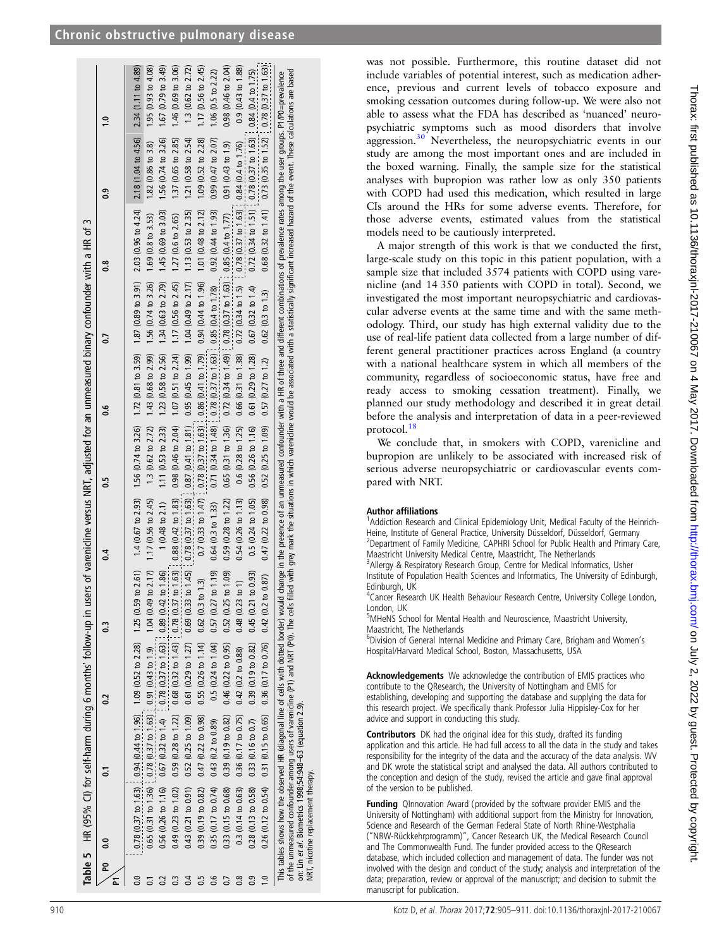<span id="page-5-0"></span>

|                   |                              |                                                          | Table 5 HR (95% CI) for self-harm during 6 months' follow-up in users of varenicline versus NRT, adjusted for an unmeasured binary confounder with a HR of 3                                                                                                                                                          |                                                                                         |                              |                                                                                                                             |                               |                                                                                                                   |                              |                                                                                                                                                                            |                               |
|-------------------|------------------------------|----------------------------------------------------------|-----------------------------------------------------------------------------------------------------------------------------------------------------------------------------------------------------------------------------------------------------------------------------------------------------------------------|-----------------------------------------------------------------------------------------|------------------------------|-----------------------------------------------------------------------------------------------------------------------------|-------------------------------|-------------------------------------------------------------------------------------------------------------------|------------------------------|----------------------------------------------------------------------------------------------------------------------------------------------------------------------------|-------------------------------|
| Σ                 | $\frac{1}{2}$                | ్ర                                                       | $\sim$                                                                                                                                                                                                                                                                                                                | C,                                                                                      | $\overline{0.4}$             | $\frac{5}{2}$                                                                                                               | 9.6                           | $\overline{0}$                                                                                                    | $\frac{8}{2}$                | ္ပီ                                                                                                                                                                        | $\ddot{ }$                    |
|                   |                              |                                                          | $0.78$ ( $0.37$ to $1.63$ ) $0.94$ ( $0.44$ to $1.96$ ) $1.09$ ( $0.52$ to $2.28$ ) $1.25$ ( $0.59$                                                                                                                                                                                                                   |                                                                                         |                              |                                                                                                                             |                               |                                                                                                                   |                              | to 2.61) 1.4 (0.67 to 2.93) 1.56 (0.74 to 3.26) 1.72 (0.81 to 3.59) 1.87 (0.89 to 3.91) 2.03 (0.96 to 4.24) 2.18 (1.04 to 4.56) 2.34 (1.11 to 4.89)                        |                               |
|                   |                              |                                                          |                                                                                                                                                                                                                                                                                                                       |                                                                                         | to 2.17) 1.17 (0.56 to 2.45) |                                                                                                                             |                               | 1.3 (0.62 to 2.72) 1.43 (0.68 to 2.99) 1.56 (0.74 to 3.26) 1.69 (0.8 to 3.53)                                     |                              | $1.82(0.86 \text{ to } 3.8)$                                                                                                                                               | 1.95(0.93 to 4.08)            |
|                   |                              |                                                          | 0.65 (0.31 to 1.36) [0.78 (0.37 to 1.63) [0.91 (0.43 to 1.9) 1.04 (0.49<br>0.56 (0.26 to 1.16) 0.67 (0.32 to 1.4) [0.78 (0.37 to 1.63) [0.89 (0.42]                                                                                                                                                                   | to 1.86                                                                                 | $1(0.48 \text{ to } 2.1)$    | 1.11 ( $0.53$ to $2.33$ )                                                                                                   | 1.23 (0.58 to 2.56)           | $1.34(0.63 \text{ to } 2.79)$                                                                                     | 1.45(0.69 to 3.03)           | 1.56 (0.74 to 3.26)                                                                                                                                                        | 1.67(0.79 to 3.49)            |
|                   | $0.49$ $(0.23$ to $1.02)$    |                                                          | $0.59(0.28 \text{ to } 1.22)$ $0.68(0.32 \text{ to } 1.43)$ $0.78(0.37 \text{ to } 1.63)$ $0.88(0.42 \text{ to } 1.83)$                                                                                                                                                                                               |                                                                                         |                              | $0.98$ $(0.46$ to $2.04)$                                                                                                   | $1.07(0.51 \text{ to } 2.24)$ | 1.17 (0.56 to 2.45)                                                                                               | $1.27(0.6 \text{ to } 2.65)$ | 1.37 (0.65 to 2.85)                                                                                                                                                        | 1.46 (0.69 to 3.06)           |
|                   | $0.43$ $(0.21$ to $0.91)$    | 0.52(0.25 to 1.09)                                       |                                                                                                                                                                                                                                                                                                                       | $0.61$ (0.29 to 1.27) $0.69$ (0.33 to 1.45) $0.78$ (0.37 to 1.63) $1.87$ (0.41 to 1.81) |                              |                                                                                                                             | $0.95(0.45$ to $1.99)$        | 1.04 $(0.49$ to 2.17)                                                                                             | $1.13$ (0.53 to 2.35)        | 1.21 (0.58 to 2.54)                                                                                                                                                        | 1.3 $(0.62 \text{ to } 2.72)$ |
|                   | 0.39(0.19 to 0.82)           | 0.47 (0.22 to 0.98)                                      | 0.55(0.26 to 1.14)                                                                                                                                                                                                                                                                                                    | $0.62(0.3 \text{ to } 1.3)$                                                             |                              | $(0.7, (0.33 \text{ to } 1.47)$ $(0.78, (0.37 \text{ to } 1.63)$ $(0.41 \text{ to } 1.79)$ $(0.94, (0.44 \text{ to } 1.96)$ |                               |                                                                                                                   | 1.01 $(0.48$ to 2.12)        | 1.09 (0.52 to 2.28)                                                                                                                                                        | 1.17 (0.56 to $2.45$ )        |
|                   |                              | $0.35(0.17 to 0.74)$ 0.43 (0.2 to 0.89)                  |                                                                                                                                                                                                                                                                                                                       | $0.5(0.24 \text{ to } 1.04)$ $0.57(0.27 \text{ to } 1.19)$                              | 0.64(0.3 to 1.33)            | $0.71$ ( $0.34$ to $1.48$ ) $(0.78)$ ( $0.37$ to $1.63$ ) $0.85$ ( $0.4$ to $1.78$ )                                        |                               |                                                                                                                   | $0.92$ $(0.44$ to 1.93)      | $0.99$ $(0.47$ to $2.07)$                                                                                                                                                  | 1.06 (0.5 to $2.22$ )         |
|                   |                              | $0.33$ (0.15 to 0.68) 0.39 (0.19 to 0.82)                |                                                                                                                                                                                                                                                                                                                       | $0.46$ (0.22 to 0.95) 0.52 (0.25 to 1.09)                                               | $0.59$ (0.28 to 1.22)        |                                                                                                                             |                               | $0.65$ (0.31 to 1.36) $0.72$ (0.34 to 1.49) $(0.78$ (0.37 to 1.63) $(0.85$ (0.4 to 1.77)                          |                              | $0.91(0.43 \text{ to } 1.9)$                                                                                                                                               | $0.98$ (0.46 to 2.04)         |
| $\overline{0.8}$  | $0.3(0.14 \text{ to } 0.63)$ | $0.36(0.17 \text{ to } 0.75)$                            | $0.42$ (0.2 to 0.88)                                                                                                                                                                                                                                                                                                  | $0.48$ $(0.23$ to 1)                                                                    | $0.54$ (0.26 to 1.13)        |                                                                                                                             |                               | $0.6$ (0.28 to 1.25) $0.66$ (0.31 to 1.38) $0.72$ (0.34 to 1.5) $\vdots$ 0.78 (0.37 to 1.63) $0.84$ (0.4 to 1.76) |                              |                                                                                                                                                                            | $0.9(0.43 \text{ to } 1.88)$  |
| $\overline{0}$ .0 | $0.28$ $(0.13$ to $0.58)$    | $0.33(0.16 \text{ to } 0.7)$                             | $0.39(0.19 \text{ to } 0.82)$                                                                                                                                                                                                                                                                                         | to 0.93<br>0.45(0.21)                                                                   | $0.5(0.24 \text{ to } 1.05)$ | $0.56$ (0.26 to 1.16)                                                                                                       | $0.61$ (0.29 to 1.28)         | $0.67$ $(0.32$ to $1.4)$                                                                                          |                              | $0.72$ (0.34 to 1.51) $0.78$ (0.37 to 1.63) $1.0.84$ (0.4 to 1.75)                                                                                                         |                               |
|                   |                              |                                                          | $0.26$ (0.12 to $0.54$ ) $0.31$ (0.15 to $0.65$ ) $0.36$ (0.17 to $0.76$ ) $0.42$ (0.2 to $0.87$ )                                                                                                                                                                                                                    |                                                                                         | $0.47$ (0.22 to 0.98)        | $0.52$ (0.25 to 1.09) $0.57$ (0.27 to 1.2)                                                                                  |                               | $0.62(0.3 \text{ to } 1.3)$                                                                                       |                              | $0.68$ (0.32 to 1.41) $0.73$ (0.35 to 1.52) $(0.78)$ (0.37 to 1.63)                                                                                                        |                               |
|                   |                              | on: Lin et al. Biometrics 1998;54:948-63 (equation 2.9). | This tables shows how the observed HR (diagonal line of cells with dotted border border) would change in the presence of an unmeasured confounder with a HR of three and different combinations of prevalence rates among the<br>of the unmeasured confounder among users of varenicline (P1) and NRT (P0). The cells |                                                                                         |                              |                                                                                                                             |                               |                                                                                                                   |                              | filled with grey mark the situations in which varenicline would be associated with a statistically significant increased hazard of the event. These calculations are based |                               |

was not possible. Furthermore, this routine dataset did not include variables of potential interest, such as medication adherence, previous and current levels of tobacco exposure and smoking cessation outcomes during follow-up. We were also not able to assess what the FDA has described as 'nuanced ' neuropsychiatric symptoms such as mood disorders that involve aggression.<sup>30</sup> Nevertheless, the neuropsychiatric events in our study are among the most important ones and are included in the boxed warning. Finally, the sample size for the statistical analyses with bupropion was rather low as only 350 patients with COPD had used this medication, which resulted in large CIs around the HRs for some adverse events. Therefore, for those adverse events, estimated values from the statistical models need to be cautiously interpreted.

A major strength of this work is that we conducted the first, large-scale study on this topic in this patient population, with a sample size that included 3574 patients with COPD using varenicline (and 14 350 patients with COPD in total). Second, we investigated the most important neuropsychiatric and cardiovascular adverse events at the same time and with the same methodology. Third, our study has high external validity due to the use of real-life patient data collected from a large number of different general practitioner practices across England (a country with a national healthcare system in which all members of the community, regardless of socioeconomic status, have free and ready access to smoking cessation treatment). Finally, we planned our study methodology and described it in great detail before the analysis and interpretation of data in a peer-reviewed protocol.[18](#page-6-0)

We conclude that, in smokers with COPD, varenicline and bupropion are unlikely to be associated with increased risk of serious adverse neuropsychiatric or cardiovascular events compared with NRT.

## Author affiliations <sup>1</sup>

NRT, nicotine replacement therapy.

NRT,

nicotine replacement therapy.

<sup>1</sup>Addiction Research and Clinical Epidemiology Unit, Medical Faculty of the Heinrich-Heine, Institute of General Practice, University Düsseldorf, Düsseldorf, Germany <sup>2</sup> <sup>2</sup> Department of Family Medicine, CAPHRI School for Public Health and Primary Care,

Maastricht University Medical Centre, Maastricht, The Netherlands <sup>3</sup>

<sup>3</sup> Allergy & Respiratory Research Group, Centre for Medical Informatics, Usher Institute of Population Health Sciences and Informatics, The University of Edinburgh, Edinburgh, UK <sup>4</sup>

<sup>4</sup> Cancer Research UK Health Behaviour Research Centre, University College London, London, UK

<sup>5</sup>MHeNS School for Mental Health and Neuroscience, Maastricht University, Maastricht, The Netherlands <sup>6</sup>

'Division of General Internal Medicine and Primary Care, Brigham and Women's Hospital/Harvard Medical School, Boston, Massachusetts, USA

Acknowledgements We acknowledge the contribution of EMIS practices who contribute to the QResearch, the University of Nottingham and EMIS for establishing, developing and supporting the database and supplying the data for this research project. We speci fically thank Professor Julia Hippisley-Cox for her advice and support in conducting this study.

Contributors DK had the original idea for this study, drafted its funding application and this article. He had full access to all the data in the study and takes responsibility for the integrity of the data and the accuracy of the data analysis. WV and DK wrote the statistical script and analysed the data. All authors contributed to the conception and design of the study, revised the article and gave final approval of the version to be published.

Funding QInnovation Award (provided by the software provider EMIS and the University of Nottingham) with additional support from the Ministry for Innovation, Science and Research of the German Federal State of North Rhine-Westphalia ("NRW-Rückkehrprogramm)", Cancer Research UK, the Medical Research Council and The Commonwealth Fund. The funder provided access to the QResearch database, which included collection and management of data. The funder was not involved with the design and conduct of the study; analysis and interpretation of the data; preparation, review or approval of the manuscript; and decision to submit the manuscript for publication.